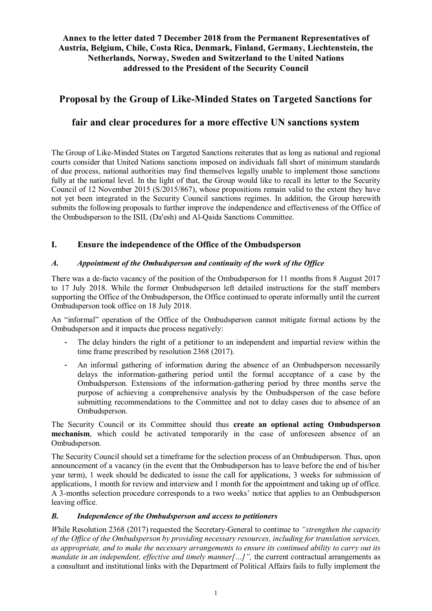# **Annex to the letter dated 7 December 2018 from the Permanent Representatives of Austria, Belgium, Chile, Costa Rica, Denmark, Finland, Germany, Liechtenstein, the Netherlands, Norway, Sweden and Switzerland to the United Nations addressed to the President of the Security Council**

# **Proposal by the Group of Like-Minded States on Targeted Sanctions for**

# **fair and clear procedures for a more effective UN sanctions system**

The Group of Like-Minded States on Targeted Sanctions reiterates that as long as national and regional courts consider that United Nations sanctions imposed on individuals fall short of minimum standards of due process, national authorities may find themselves legally unable to implement those sanctions fully at the national level. In the light of that, the Group would like to recall its letter to the Security Council of 12 November 2015 (S/2015/867), whose propositions remain valid to the extent they have not yet been integrated in the Security Council sanctions regimes. In addition, the Group herewith submits the following proposals to further improve the independence and effectiveness of the Office of the Ombudsperson to the ISIL (Da'esh) and Al-Qaida Sanctions Committee.

## **I. Ensure the independence of the Office of the Ombudsperson**

#### *A. Appointment of the Ombudsperson and continuity of the work of the Office*

There was a de-facto vacancy of the position of the Ombudsperson for 11 months from 8 August 2017 to 17 July 2018. While the former Ombudsperson left detailed instructions for the staff members supporting the Office of the Ombudsperson, the Office continued to operate informally until the current Ombudsperson took office on 18 July 2018.

An "informal" operation of the Office of the Ombudsperson cannot mitigate formal actions by the Ombudsperson and it impacts due process negatively:

- The delay hinders the right of a petitioner to an independent and impartial review within the time frame prescribed by resolution 2368 (2017).
- An informal gathering of information during the absence of an Ombudsperson necessarily delays the information-gathering period until the formal acceptance of a case by the Ombudsperson. Extensions of the information-gathering period by three months serve the purpose of achieving a comprehensive analysis by the Ombudsperson of the case before submitting recommendations to the Committee and not to delay cases due to absence of an Ombudsperson.

The Security Council or its Committee should thus **create an optional acting Ombudsperson mechanism**, which could be activated temporarily in the case of unforeseen absence of an Ombudsperson.

The Security Council should set a timeframe for the selection process of an Ombudsperson. Thus, upon announcement of a vacancy (in the event that the Ombudsperson has to leave before the end of his/her year term), 1 week should be dedicated to issue the call for applications, 3 weeks for submission of applications, 1 month for review and interview and 1 month for the appointment and taking up of office. A 3-months selection procedure corresponds to a two weeks' notice that applies to an Ombudsperson leaving office.

#### *B. Independence of the Ombudsperson and access to petitioners*

*W*hile Resolution 2368 (2017) requested the Secretary-General to continue to *"strengthen the capacity of the Office of the Ombudsperson by providing necessary resources, including for translation services, as appropriate, and to make the necessary arrangements to ensure its continued ability to carry out its mandate in an independent, effective and timely manner[...]",* the current contractual arrangements as a consultant and institutional links with the Department of Political Affairs fails to fully implement the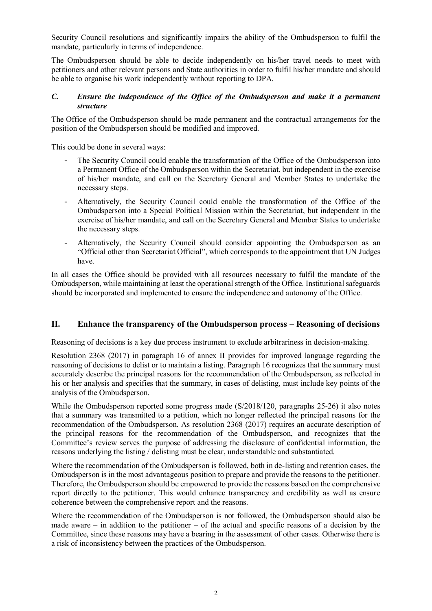Security Council resolutions and significantly impairs the ability of the Ombudsperson to fulfil the mandate, particularly in terms of independence.

The Ombudsperson should be able to decide independently on his/her travel needs to meet with petitioners and other relevant persons and State authorities in order to fulfil his/her mandate and should be able to organise his work independently without reporting to DPA.

#### *C. Ensure the independence of the Office of the Ombudsperson and make it a permanent structure*

The Office of the Ombudsperson should be made permanent and the contractual arrangements for the position of the Ombudsperson should be modified and improved.

This could be done in several ways:

- The Security Council could enable the transformation of the Office of the Ombudsperson into a Permanent Office of the Ombudsperson within the Secretariat, but independent in the exercise of his/her mandate, and call on the Secretary General and Member States to undertake the necessary steps.
- Alternatively, the Security Council could enable the transformation of the Office of the Ombudsperson into a Special Political Mission within the Secretariat, but independent in the exercise of his/her mandate, and call on the Secretary General and Member States to undertake the necessary steps.
- Alternatively, the Security Council should consider appointing the Ombudsperson as an "Official other than Secretariat Official", which corresponds to the appointment that UN Judges have.

In all cases the Office should be provided with all resources necessary to fulfil the mandate of the Ombudsperson, while maintaining at least the operational strength of the Office. Institutional safeguards should be incorporated and implemented to ensure the independence and autonomy of the Office.

### **II. Enhance the transparency of the Ombudsperson process – Reasoning of decisions**

Reasoning of decisions is a key due process instrument to exclude arbitrariness in decision-making.

Resolution 2368 (2017) in paragraph 16 of annex II provides for improved language regarding the reasoning of decisions to delist or to maintain a listing. Paragraph 16 recognizes that the summary must accurately describe the principal reasons for the recommendation of the Ombudsperson, as reflected in his or her analysis and specifies that the summary, in cases of delisting, must include key points of the analysis of the Ombudsperson.

While the Ombudsperson reported some progress made (S/2018/120, paragraphs 25-26) it also notes that a summary was transmitted to a petition, which no longer reflected the principal reasons for the recommendation of the Ombudsperson. As resolution 2368 (2017) requires an accurate description of the principal reasons for the recommendation of the Ombudsperson, and recognizes that the Committee's review serves the purpose of addressing the disclosure of confidential information, the reasons underlying the listing / delisting must be clear, understandable and substantiated.

Where the recommendation of the Ombudsperson is followed, both in de-listing and retention cases, the Ombudsperson is in the most advantageous position to prepare and provide the reasons to the petitioner. Therefore, the Ombudsperson should be empowered to provide the reasons based on the comprehensive report directly to the petitioner. This would enhance transparency and credibility as well as ensure coherence between the comprehensive report and the reasons.

Where the recommendation of the Ombudsperson is not followed, the Ombudsperson should also be made aware – in addition to the petitioner – of the actual and specific reasons of a decision by the Committee, since these reasons may have a bearing in the assessment of other cases. Otherwise there is a risk of inconsistency between the practices of the Ombudsperson.